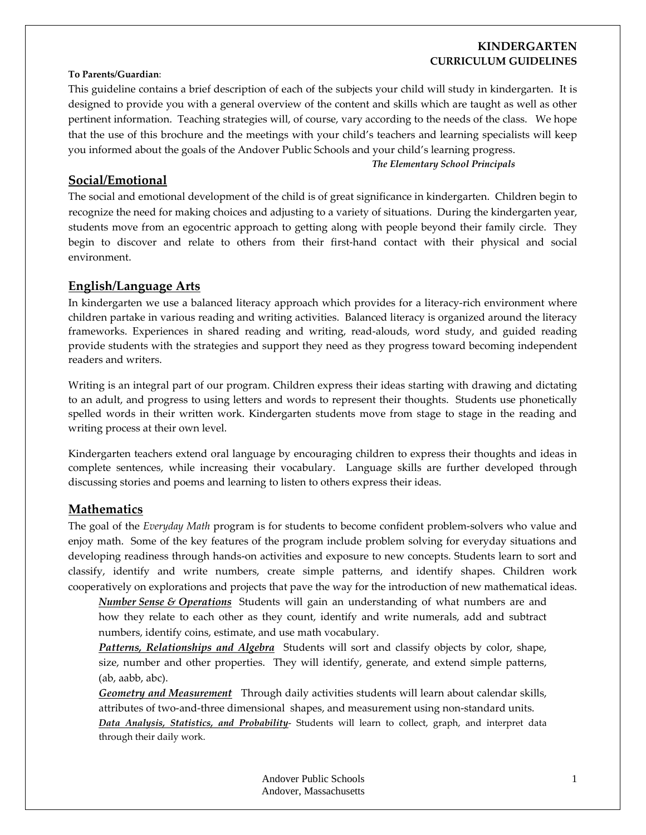# **KINDERGARTEN CURRICULUM GUIDELINES**

### **To Parents/Guardian**:

This guideline contains a brief description of each of the subjects your child will study in kindergarten. It is designed to provide you with a general overview of the content and skills which are taught as well as other pertinent information. Teaching strategies will, of course, vary according to the needs of the class. We hope that the use of this brochure and the meetings with your child's teachers and learning specialists will keep you informed about the goals of the Andover Public Schools and your child's learning progress.

#### *The Elementary School Principals*

## **Social/Emotional**

The social and emotional development of the child is of great significance in kindergarten. Children begin to recognize the need for making choices and adjusting to a variety of situations. During the kindergarten year, students move from an egocentric approach to getting along with people beyond their family circle. They begin to discover and relate to others from their first-hand contact with their physical and social environment.

## **English/Language Arts**

In kindergarten we use a balanced literacy approach which provides for a literacy-rich environment where children partake in various reading and writing activities. Balanced literacy is organized around the literacy frameworks. Experiences in shared reading and writing, read‐alouds, word study, and guided reading provide students with the strategies and support they need as they progress toward becoming independent readers and writers.

Writing is an integral part of our program. Children express their ideas starting with drawing and dictating to an adult, and progress to using letters and words to represent their thoughts. Students use phonetically spelled words in their written work. Kindergarten students move from stage to stage in the reading and writing process at their own level.

Kindergarten teachers extend oral language by encouraging children to express their thoughts and ideas in complete sentences, while increasing their vocabulary. Language skills are further developed through discussing stories and poems and learning to listen to others express their ideas.

#### **Mathematics**

The goal of the *Everyday Math* program is for students to become confident problem‐solvers who value and enjoy math. Some of the key features of the program include problem solving for everyday situations and developing readiness through hands‐on activities and exposure to new concepts. Students learn to sort and classify, identify and write numbers, create simple patterns, and identify shapes. Children work cooperatively on explorations and projects that pave the way for the introduction of new mathematical ideas.

*Number Sense & Operations* Students will gain an understanding of what numbers are and how they relate to each other as they count, identify and write numerals, add and subtract numbers, identify coins, estimate, and use math vocabulary.

*Patterns, Relationships and Algebra* Students will sort and classify objects by color, shape, size, number and other properties. They will identify, generate, and extend simple patterns, (ab, aabb, abc).

*Geometry and Measurement* Through daily activities students will learn about calendar skills, attributes of two-and-three dimensional shapes, and measurement using non-standard units. *Data Analysis, Statistics, and Probability*‐ Students will learn to collect, graph, and interpret data through their daily work.

> Andover Public Schools Andover, Massachusetts